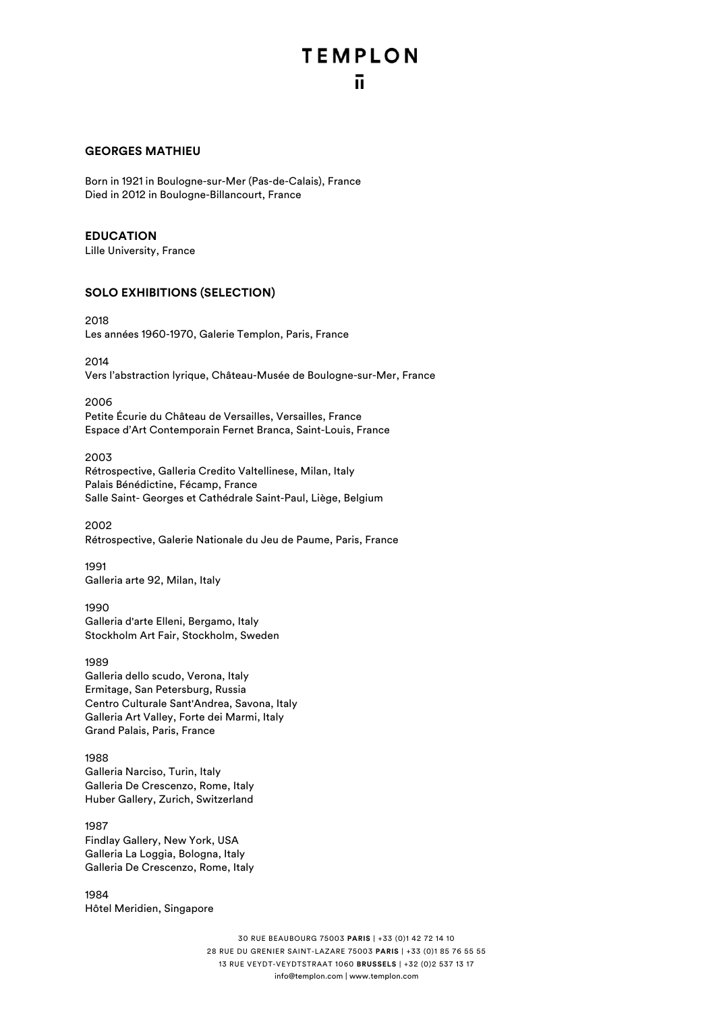### **GEORGES MATHIEU**

Born in 1921 in Boulogne-sur-Mer (Pas-de-Calais), France Died in 2012 in Boulogne-Billancourt, France

### **EDUCATION**

Lille University, France

### **SOLO EXHIBITIONS (SELECTION)**

2018

Les années 1960-1970, Galerie Templon, Paris, France

2014

Vers l'abstraction lyrique, Château-Musée de Boulogne-sur-Mer, France

2006

Petite Écurie du Château de Versailles, Versailles, France Espace d'Art Contemporain Fernet Branca, Saint-Louis, France

#### 2003

Rétrospective, Galleria Credito Valtellinese, Milan, Italy Palais Bénédictine, Fécamp, France Salle Saint- Georges et Cathédrale Saint-Paul, Liège, Belgium

2002 Rétrospective, Galerie Nationale du Jeu de Paume, Paris, France

1991 Galleria arte 92, Milan, Italy

1990 Galleria d'arte Elleni, Bergamo, Italy Stockholm Art Fair, Stockholm, Sweden

1989 Galleria dello scudo, Verona, Italy Ermitage, San Petersburg, Russia Centro Culturale Sant'Andrea, Savona, Italy Galleria Art Valley, Forte dei Marmi, Italy Grand Palais, Paris, France

1988 Galleria Narciso, Turin, Italy Galleria De Crescenzo, Rome, Italy Huber Gallery, Zurich, Switzerland

1987 Findlay Gallery, New York, USA Galleria La Loggia, Bologna, Italy Galleria De Crescenzo, Rome, Italy

1984 Hôtel Meridien, Singapore

> 30 RUE BEAUBOURG 75003 **PARIS** | +33 (0)1 42 72 14 10 28 RUE DU GRENIER SAINT-LAZARE 75003 **PARIS** | +33 (0)1 85 76 55 55 13 RUE VEYDT-VEYDTSTRAAT 1060 **BRUSSELS** | +32 (0)2 537 13 17 info@templon.com | www.templon.com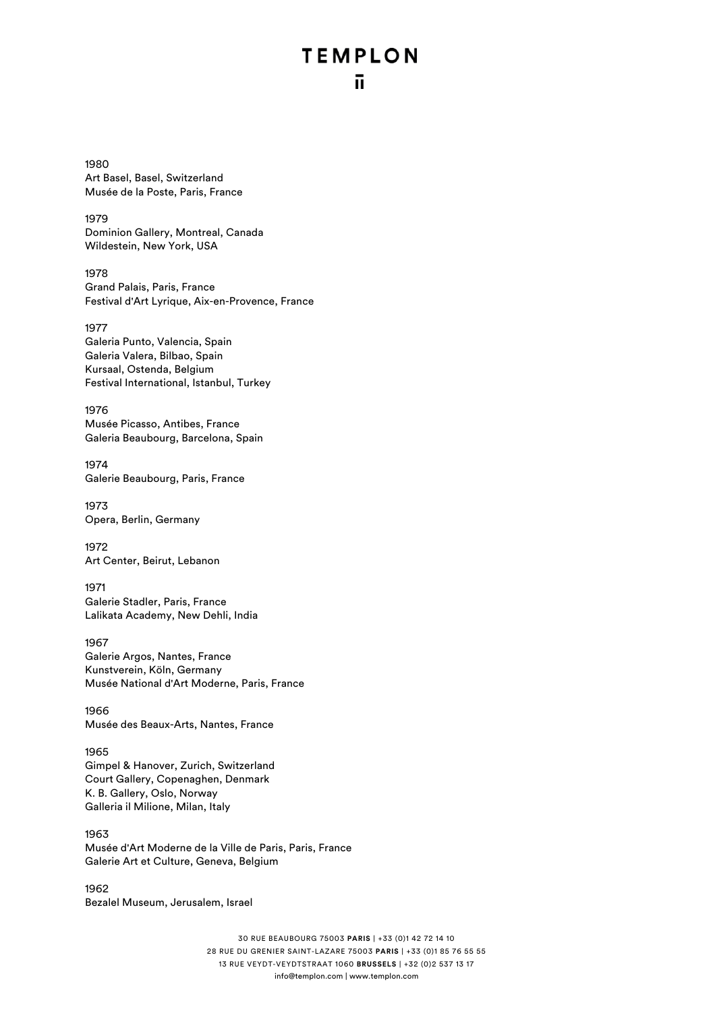# **TEMPLON** ū

1980 Art Basel, Basel, Switzerland Musée de la Poste, Paris, France

1979 Dominion Gallery, Montreal, Canada Wildestein, New York, USA

1978 Grand Palais, Paris, France Festival d'Art Lyrique, Aix-en-Provence, France

1977 Galeria Punto, Valencia, Spain Galeria Valera, Bilbao, Spain Kursaal, Ostenda, Belgium Festival International, Istanbul, Turkey

1976 Musée Picasso, Antibes, France Galeria Beaubourg, Barcelona, Spain

1974 Galerie Beaubourg, Paris, France

1973 Opera, Berlin, Germany

1972 Art Center, Beirut, Lebanon

1971 Galerie Stadler, Paris, France Lalikata Academy, New Dehli, India

1967 Galerie Argos, Nantes, France Kunstverein, Köln, Germany Musée National d'Art Moderne, Paris, France

1966 Musée des Beaux-Arts, Nantes, France

1965 Gimpel & Hanover, Zurich, Switzerland Court Gallery, Copenaghen, Denmark K. B. Gallery, Oslo, Norway Galleria il Milione, Milan, Italy

1963 Musée d'Art Moderne de la Ville de Paris, Paris, France Galerie Art et Culture, Geneva, Belgium

1962 Bezalel Museum, Jerusalem, Israel

> 30 RUE BEAUBOURG 75003 **PARIS** | +33 (0)1 42 72 14 10 28 RUE DU GRENIER SAINT-LAZARE 75003 **PARIS** | +33 (0)1 85 76 55 55 13 RUE VEYDT-VEYDTSTRAAT 1060 **BRUSSELS** | +32 (0)2 537 13 17 info@templon.com | www.templon.com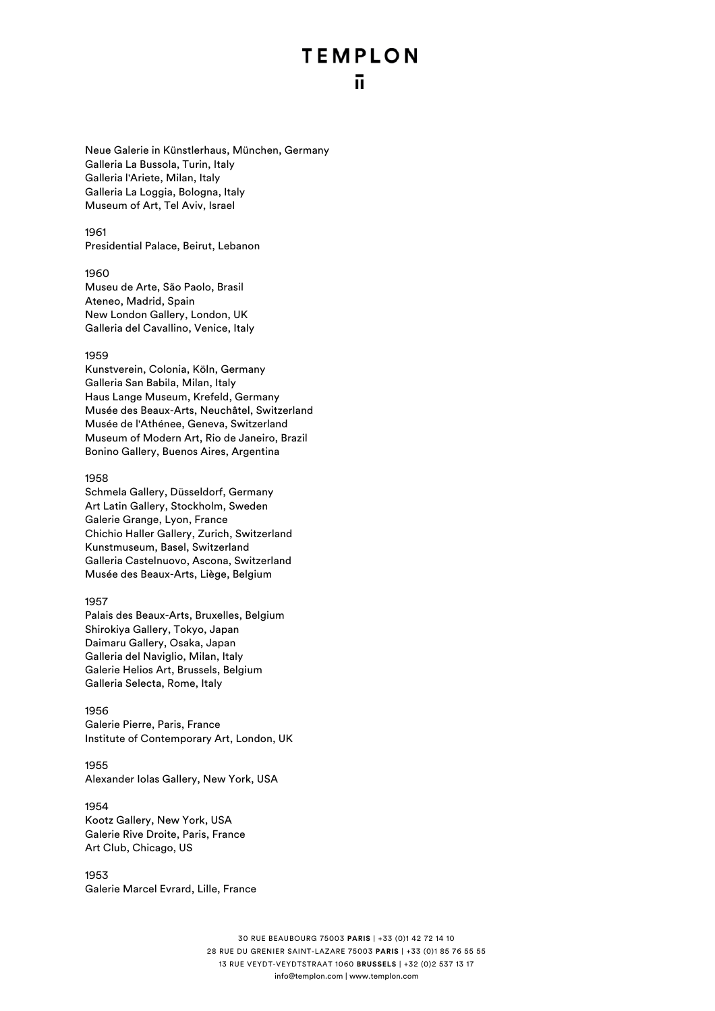Neue Galerie in Künstlerhaus, München, Germany Galleria La Bussola, Turin, Italy Galleria l'Ariete, Milan, Italy Galleria La Loggia, Bologna, Italy Museum of Art, Tel Aviv, Israel

#### 1961

Presidential Palace, Beirut, Lebanon

#### 1960

Museu de Arte, São Paolo, Brasil Ateneo, Madrid, Spain New London Gallery, London, UK Galleria del Cavallino, Venice, Italy

#### 1959

Kunstverein, Colonia, Köln, Germany Galleria San Babila, Milan, Italy Haus Lange Museum, Krefeld, Germany Musée des Beaux-Arts, Neuchâtel, Switzerland Musée de l'Athénee, Geneva, Switzerland Museum of Modern Art, Rio de Janeiro, Brazil Bonino Gallery, Buenos Aires, Argentina

#### 1958

Schmela Gallery, Düsseldorf, Germany Art Latin Gallery, Stockholm, Sweden Galerie Grange, Lyon, France Chichio Haller Gallery, Zurich, Switzerland Kunstmuseum, Basel, Switzerland Galleria Castelnuovo, Ascona, Switzerland Musée des Beaux-Arts, Liège, Belgium

#### 1957

Palais des Beaux-Arts, Bruxelles, Belgium Shirokiya Gallery, Tokyo, Japan Daimaru Gallery, Osaka, Japan Galleria del Naviglio, Milan, Italy Galerie Helios Art, Brussels, Belgium Galleria Selecta, Rome, Italy

#### 1956

Galerie Pierre, Paris, France Institute of Contemporary Art, London, UK

## 1955

Alexander Iolas Gallery, New York, USA

### 1954

Kootz Gallery, New York, USA Galerie Rive Droite, Paris, France Art Club, Chicago, US

1953 Galerie Marcel Evrard, Lille, France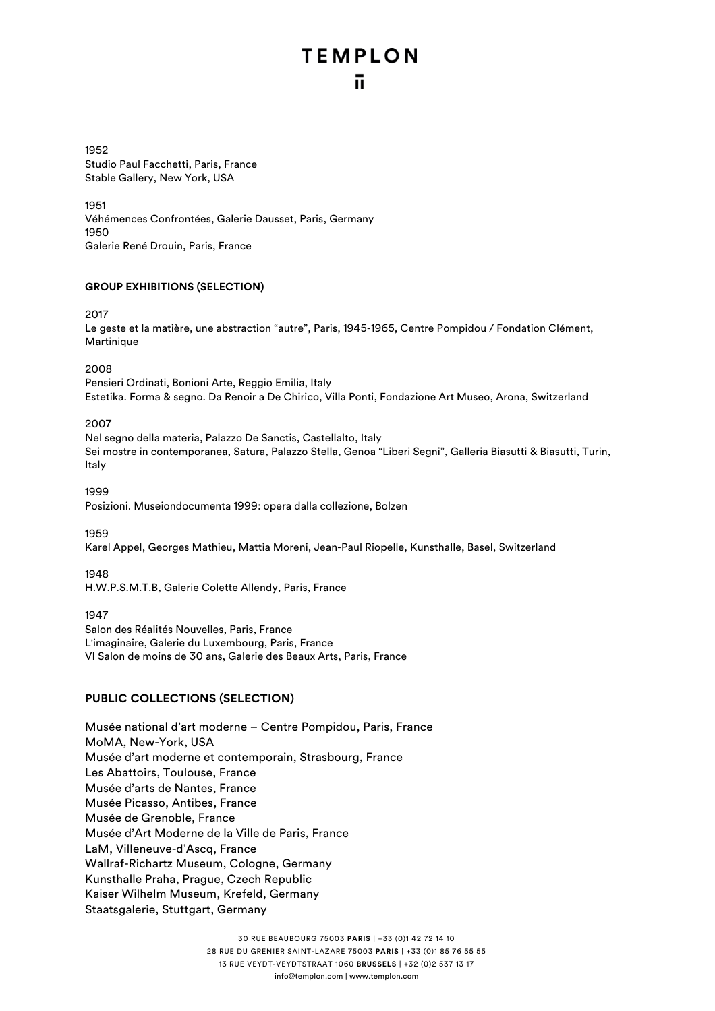1952 Studio Paul Facchetti, Paris, France Stable Gallery, New York, USA

1951 Véhémences Confrontées, Galerie Dausset, Paris, Germany 1950 Galerie René Drouin, Paris, France

### **GROUP EXHIBITIONS (SELECTION)**

2017

Le geste et la matière, une abstraction "autre", Paris, 1945-1965, Centre Pompidou / Fondation Clément, Martinique

2008

Pensieri Ordinati, Bonioni Arte, Reggio Emilia, Italy Estetika. Forma & segno. Da Renoir a De Chirico, Villa Ponti, Fondazione Art Museo, Arona, Switzerland

2007

Nel segno della materia, Palazzo De Sanctis, Castellalto, Italy Sei mostre in contemporanea, Satura, Palazzo Stella, Genoa "Liberi Segni", Galleria Biasutti & Biasutti, Turin, Italy

1999

Posizioni. Museiondocumenta 1999: opera dalla collezione, Bolzen

1959

Karel Appel, Georges Mathieu, Mattia Moreni, Jean-Paul Riopelle, Kunsthalle, Basel, Switzerland

1948

H.W.P.S.M.T.B, Galerie Colette Allendy, Paris, France

1947 Salon des Réalités Nouvelles, Paris, France L'imaginaire, Galerie du Luxembourg, Paris, France VI Salon de moins de 30 ans, Galerie des Beaux Arts, Paris, France

## **PUBLIC COLLECTIONS (SELECTION)**

Musée national d'art moderne – Centre Pompidou, Paris, France MoMA, New-York, USA Musée d'art moderne et contemporain, Strasbourg, France Les Abattoirs, Toulouse, France Musée d'arts de Nantes, France Musée Picasso, Antibes, France Musée de Grenoble, France Musée d'Art Moderne de la Ville de Paris, France LaM, Villeneuve-d'Ascq, France Wallraf-Richartz Museum, Cologne, Germany Kunsthalle Praha, Prague, Czech Republic Kaiser Wilhelm Museum, Krefeld, Germany Staatsgalerie, Stuttgart, Germany

> 30 RUE BEAUBOURG 75003 **PARIS** | +33 (0)1 42 72 14 10 28 RUE DU GRENIER SAINT-LAZARE 75003 **PARIS** | +33 (0)1 85 76 55 55 13 RUE VEYDT-VEYDTSTRAAT 1060 **BRUSSELS** | +32 (0)2 537 13 17 info@templon.com | www.templon.com